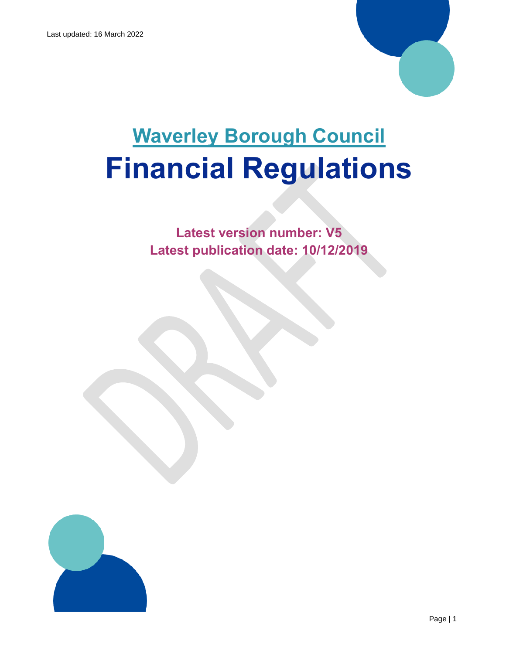

# **Waverley Borough Council Financial Regulations**

**Latest version number: V5 Latest publication date: 10/12/2019**

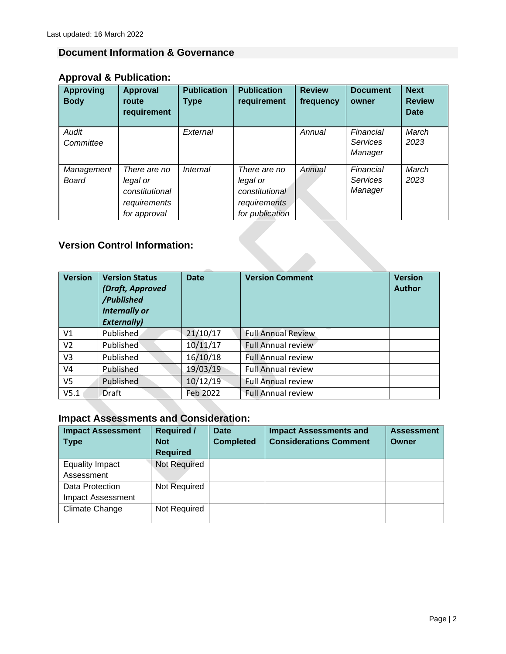# <span id="page-1-0"></span>**Document Information & Governance**

# **Approval & Publication:**

| <b>Approving</b><br><b>Body</b>     | <b>Approval</b><br>route<br>requirement                                    | <b>Publication</b><br><b>Type</b> | <b>Publication</b><br>requirement                                             | <b>Review</b><br>frequency | <b>Document</b><br>owner                | <b>Next</b><br><b>Review</b><br><b>Date</b> |
|-------------------------------------|----------------------------------------------------------------------------|-----------------------------------|-------------------------------------------------------------------------------|----------------------------|-----------------------------------------|---------------------------------------------|
| Audit<br>Committee                  |                                                                            | External                          |                                                                               | Annual                     | Financial<br><b>Services</b><br>Manager | March<br>2023                               |
| Management<br><b>Board</b>          | There are no<br>legal or<br>constitutional<br>requirements<br>for approval | Internal                          | There are no<br>legal or<br>constitutional<br>requirements<br>for publication | Annual                     | Financial<br><b>Services</b><br>Manager | March<br>2023                               |
| <b>Version Control Information:</b> |                                                                            |                                   |                                                                               |                            |                                         |                                             |

# **Version Control Information:**

| <b>Version</b> | <b>Version Status</b><br>(Draft, Approved<br>/Published<br><b>Internally or</b><br><b>Externally)</b> | <b>Date</b> | <b>Version Comment</b>    | <b>Version</b><br><b>Author</b> |
|----------------|-------------------------------------------------------------------------------------------------------|-------------|---------------------------|---------------------------------|
| V1             | Published                                                                                             | 21/10/17    | <b>Full Annual Review</b> |                                 |
| V <sub>2</sub> | <b>Published</b>                                                                                      | 10/11/17    | <b>Full Annual review</b> |                                 |
| V <sub>3</sub> | Published                                                                                             | 16/10/18    | <b>Full Annual review</b> |                                 |
| V <sub>4</sub> | Published                                                                                             | 19/03/19    | <b>Full Annual review</b> |                                 |
| V <sub>5</sub> | Published                                                                                             | 10/12/19    | <b>Full Annual review</b> |                                 |
| V5.1           | Draft                                                                                                 | Feb 2022    | <b>Full Annual review</b> |                                 |

# **Impact Assessments and Consideration:**

| <b>Impact Assessment</b><br><b>Type</b> | <b>Required /</b><br><b>Not</b><br><b>Required</b> | <b>Date</b><br><b>Completed</b> | <b>Impact Assessments and</b><br><b>Considerations Comment</b> | <b>Assessment</b><br>Owner |
|-----------------------------------------|----------------------------------------------------|---------------------------------|----------------------------------------------------------------|----------------------------|
| <b>Equality Impact</b>                  | <b>Not Required</b>                                |                                 |                                                                |                            |
| Assessment                              |                                                    |                                 |                                                                |                            |
| Data Protection                         | Not Required                                       |                                 |                                                                |                            |
| <b>Impact Assessment</b>                |                                                    |                                 |                                                                |                            |
| Climate Change                          | Not Required                                       |                                 |                                                                |                            |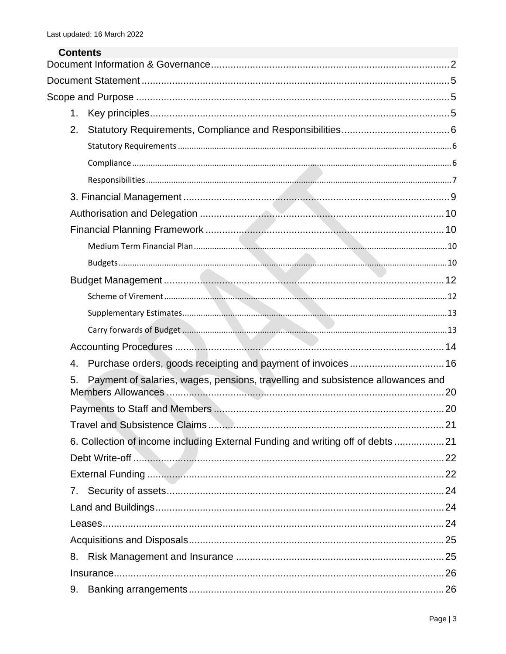| <b>Contents</b> |                                                                                 |  |
|-----------------|---------------------------------------------------------------------------------|--|
|                 |                                                                                 |  |
|                 |                                                                                 |  |
| 1 <sub>1</sub>  |                                                                                 |  |
| 2.              |                                                                                 |  |
|                 |                                                                                 |  |
|                 |                                                                                 |  |
|                 |                                                                                 |  |
|                 |                                                                                 |  |
|                 |                                                                                 |  |
|                 |                                                                                 |  |
|                 |                                                                                 |  |
|                 |                                                                                 |  |
|                 |                                                                                 |  |
|                 |                                                                                 |  |
|                 |                                                                                 |  |
|                 |                                                                                 |  |
|                 |                                                                                 |  |
| 4.              | Purchase orders, goods receipting and payment of invoices 16                    |  |
| 5.              | Payment of salaries, wages, pensions, travelling and subsistence allowances and |  |
|                 |                                                                                 |  |
|                 |                                                                                 |  |
|                 | 6. Collection of income including External Funding and writing off of debts  21 |  |
|                 |                                                                                 |  |
|                 |                                                                                 |  |
|                 |                                                                                 |  |
|                 |                                                                                 |  |
|                 |                                                                                 |  |
|                 |                                                                                 |  |
| 8.              |                                                                                 |  |
|                 |                                                                                 |  |
| 9.              |                                                                                 |  |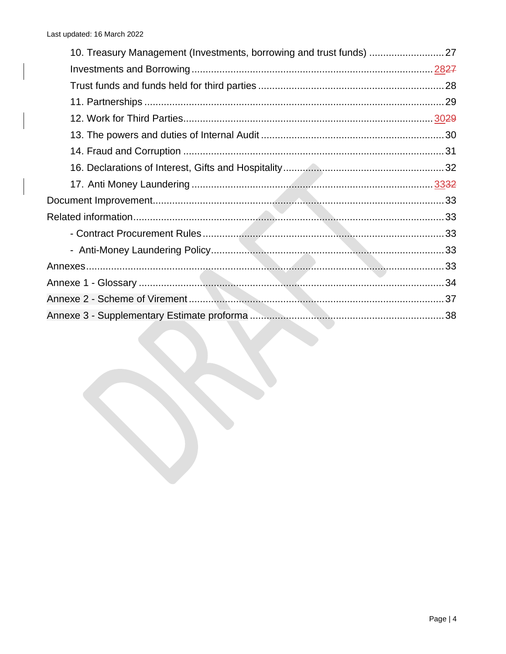| 10. Treasury Management (Investments, borrowing and trust funds) 27 |  |
|---------------------------------------------------------------------|--|
|                                                                     |  |
|                                                                     |  |
|                                                                     |  |
|                                                                     |  |
|                                                                     |  |
|                                                                     |  |
|                                                                     |  |
|                                                                     |  |
|                                                                     |  |
|                                                                     |  |
|                                                                     |  |
|                                                                     |  |
|                                                                     |  |
|                                                                     |  |
|                                                                     |  |
|                                                                     |  |
|                                                                     |  |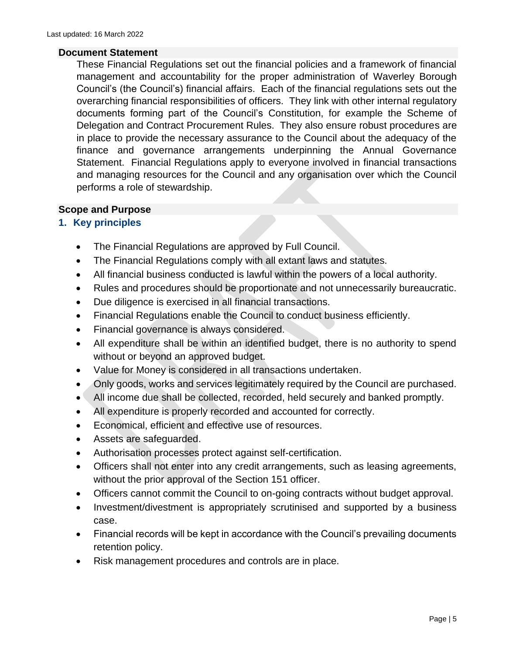#### <span id="page-4-0"></span>**Document Statement**

These Financial Regulations set out the financial policies and a framework of financial management and accountability for the proper administration of Waverley Borough Council's (the Council's) financial affairs. Each of the financial regulations sets out the overarching financial responsibilities of officers. They link with other internal regulatory documents forming part of the Council's Constitution, for example the Scheme of Delegation and Contract Procurement Rules. They also ensure robust procedures are in place to provide the necessary assurance to the Council about the adequacy of the finance and governance arrangements underpinning the Annual Governance Statement. Financial Regulations apply to everyone involved in financial transactions and managing resources for the Council and any organisation over which the Council performs a role of stewardship.

#### <span id="page-4-1"></span>**Scope and Purpose**

#### <span id="page-4-2"></span>**1. Key principles**

- The Financial Regulations are approved by Full Council.
- The Financial Regulations comply with all extant laws and statutes.
- All financial business conducted is lawful within the powers of a local authority.
- Rules and procedures should be proportionate and not unnecessarily bureaucratic.
- Due diligence is exercised in all financial transactions.
- Financial Regulations enable the Council to conduct business efficiently.
- Financial governance is always considered.
- All expenditure shall be within an identified budget, there is no authority to spend without or beyond an approved budget.
- Value for Money is considered in all transactions undertaken.
- Only goods, works and services legitimately required by the Council are purchased.
- All income due shall be collected, recorded, held securely and banked promptly.
- All expenditure is properly recorded and accounted for correctly.
- Economical, efficient and effective use of resources.
- Assets are safeguarded.
- Authorisation processes protect against self-certification.
- Officers shall not enter into any credit arrangements, such as leasing agreements, without the prior approval of the Section 151 officer.
- Officers cannot commit the Council to on-going contracts without budget approval.
- Investment/divestment is appropriately scrutinised and supported by a business case.
- Financial records will be kept in accordance with the Council's prevailing documents retention policy.
- Risk management procedures and controls are in place.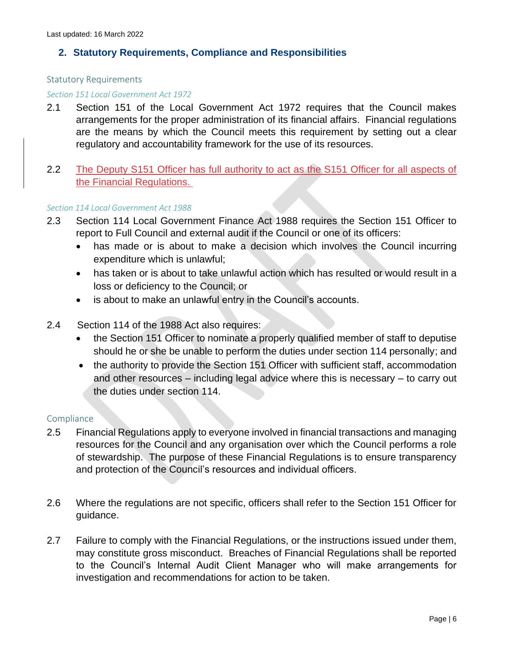## <span id="page-5-0"></span>**2. Statutory Requirements, Compliance and Responsibilities**

#### <span id="page-5-1"></span>Statutory Requirements

#### *Section 151 Local Government Act 1972*

2.1 Section 151 of the Local Government Act 1972 requires that the Council makes arrangements for the proper administration of its financial affairs. Financial regulations are the means by which the Council meets this requirement by setting out a clear regulatory and accountability framework for the use of its resources.

#### 2.2 The Deputy S151 Officer has full authority to act as the S151 Officer for all aspects of the Financial Regulations.

#### *Section 114 Local Government Act 1988*

- 2.3 Section 114 Local Government Finance Act 1988 requires the Section 151 Officer to report to Full Council and external audit if the Council or one of its officers:
	- has made or is about to make a decision which involves the Council incurring expenditure which is unlawful;
	- has taken or is about to take unlawful action which has resulted or would result in a loss or deficiency to the Council; or
	- is about to make an unlawful entry in the Council's accounts.
- 2.4 Section 114 of the 1988 Act also requires:
	- the Section 151 Officer to nominate a properly qualified member of staff to deputise should he or she be unable to perform the duties under section 114 personally; and
	- the authority to provide the Section 151 Officer with sufficient staff, accommodation and other resources – including legal advice where this is necessary – to carry out the duties under section 114.

#### <span id="page-5-2"></span>**Compliance**

- 2.5 Financial Regulations apply to everyone involved in financial transactions and managing resources for the Council and any organisation over which the Council performs a role of stewardship. The purpose of these Financial Regulations is to ensure transparency and protection of the Council's resources and individual officers.
- 2.6 Where the regulations are not specific, officers shall refer to the Section 151 Officer for guidance.
- 2.7 Failure to comply with the Financial Regulations, or the instructions issued under them, may constitute gross misconduct. Breaches of Financial Regulations shall be reported to the Council's Internal Audit Client Manager who will make arrangements for investigation and recommendations for action to be taken.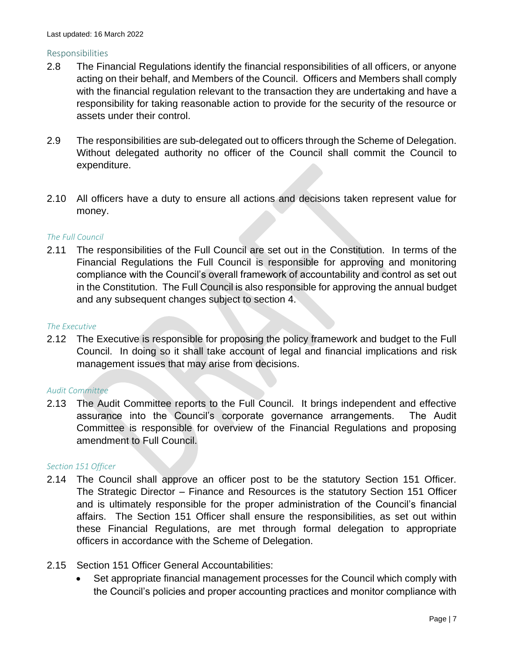#### <span id="page-6-0"></span>Responsibilities

- 2.8 The Financial Regulations identify the financial responsibilities of all officers, or anyone acting on their behalf, and Members of the Council. Officers and Members shall comply with the financial regulation relevant to the transaction they are undertaking and have a responsibility for taking reasonable action to provide for the security of the resource or assets under their control.
- 2.9 The responsibilities are sub-delegated out to officers through the Scheme of Delegation. Without delegated authority no officer of the Council shall commit the Council to expenditure.
- 2.10 All officers have a duty to ensure all actions and decisions taken represent value for money.

#### *The Full Council*

2.11 The responsibilities of the Full Council are set out in the Constitution. In terms of the Financial Regulations the Full Council is responsible for approving and monitoring compliance with the Council's overall framework of accountability and control as set out in the Constitution. The Full Council is also responsible for approving the annual budget and any subsequent changes subject to section 4.

#### *The Executive*

2.12 The Executive is responsible for proposing the policy framework and budget to the Full Council. In doing so it shall take account of legal and financial implications and risk management issues that may arise from decisions.

#### *Audit Committee*

2.13 The Audit Committee reports to the Full Council. It brings independent and effective assurance into the Council's corporate governance arrangements. The Audit Committee is responsible for overview of the Financial Regulations and proposing amendment to Full Council.

#### *Section 151 Officer*

- 2.14 The Council shall approve an officer post to be the statutory Section 151 Officer. The Strategic Director – Finance and Resources is the statutory Section 151 Officer and is ultimately responsible for the proper administration of the Council's financial affairs. The Section 151 Officer shall ensure the responsibilities, as set out within these Financial Regulations, are met through formal delegation to appropriate officers in accordance with the Scheme of Delegation.
- 2.15 Section 151 Officer General Accountabilities:
	- Set appropriate financial management processes for the Council which comply with the Council's policies and proper accounting practices and monitor compliance with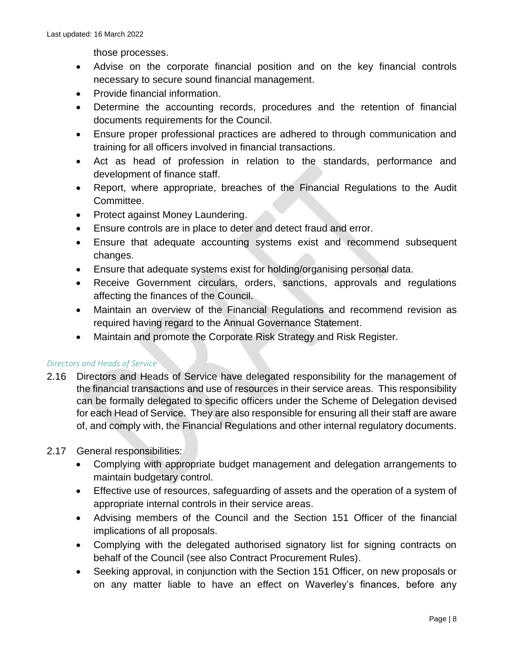those processes.

- Advise on the corporate financial position and on the key financial controls necessary to secure sound financial management.
- Provide financial information.
- Determine the accounting records, procedures and the retention of financial documents requirements for the Council.
- Ensure proper professional practices are adhered to through communication and training for all officers involved in financial transactions.
- Act as head of profession in relation to the standards, performance and development of finance staff.
- Report, where appropriate, breaches of the Financial Regulations to the Audit Committee.
- Protect against Money Laundering.
- Ensure controls are in place to deter and detect fraud and error.
- Ensure that adequate accounting systems exist and recommend subsequent changes.
- Ensure that adequate systems exist for holding/organising personal data.
- Receive Government circulars, orders, sanctions, approvals and regulations affecting the finances of the Council.
- Maintain an overview of the Financial Regulations and recommend revision as required having regard to the Annual Governance Statement.
- Maintain and promote the Corporate Risk Strategy and Risk Register.

#### *Directors and Heads of Service*

2.16 Directors and Heads of Service have delegated responsibility for the management of the financial transactions and use of resources in their service areas. This responsibility can be formally delegated to specific officers under the Scheme of Delegation devised for each Head of Service. They are also responsible for ensuring all their staff are aware of, and comply with, the Financial Regulations and other internal regulatory documents.

#### 2.17 General responsibilities:

- Complying with appropriate budget management and delegation arrangements to maintain budgetary control.
- Effective use of resources, safeguarding of assets and the operation of a system of appropriate internal controls in their service areas.
- Advising members of the Council and the Section 151 Officer of the financial implications of all proposals.
- Complying with the delegated authorised signatory list for signing contracts on behalf of the Council (see also Contract Procurement Rules).
- Seeking approval, in conjunction with the Section 151 Officer, on new proposals or on any matter liable to have an effect on Waverley's finances, before any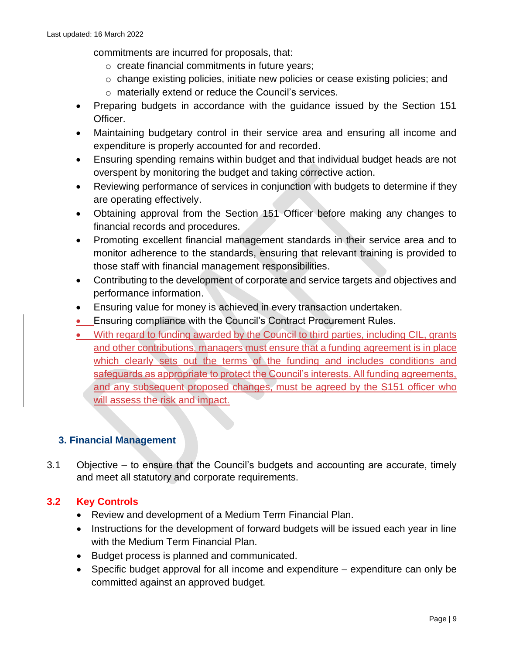commitments are incurred for proposals, that:

- o create financial commitments in future years;
- o change existing policies, initiate new policies or cease existing policies; and
- o materially extend or reduce the Council's services.
- Preparing budgets in accordance with the guidance issued by the Section 151 Officer.
- Maintaining budgetary control in their service area and ensuring all income and expenditure is properly accounted for and recorded.
- Ensuring spending remains within budget and that individual budget heads are not overspent by monitoring the budget and taking corrective action.
- Reviewing performance of services in conjunction with budgets to determine if they are operating effectively.
- Obtaining approval from the Section 151 Officer before making any changes to financial records and procedures.
- Promoting excellent financial management standards in their service area and to monitor adherence to the standards, ensuring that relevant training is provided to those staff with financial management responsibilities.
- Contributing to the development of corporate and service targets and objectives and performance information.
- Ensuring value for money is achieved in every transaction undertaken.
- Ensuring compliance with the Council's Contract Procurement Rules.
- With regard to funding awarded by the Council to third parties, including CIL, grants and other contributions, managers must ensure that a funding agreement is in place which clearly sets out the terms of the funding and includes conditions and safeguards as appropriate to protect the Council's interests. All funding agreements, and any subsequent proposed changes, must be agreed by the S151 officer who will assess the risk and impact.

# <span id="page-8-0"></span>**3. Financial Management**

3.1 Objective – to ensure that the Council's budgets and accounting are accurate, timely and meet all statutory and corporate requirements.

# **3.2 Key Controls**

- Review and development of a Medium Term Financial Plan.
- Instructions for the development of forward budgets will be issued each year in line with the Medium Term Financial Plan.
- Budget process is planned and communicated.
- Specific budget approval for all income and expenditure expenditure can only be committed against an approved budget.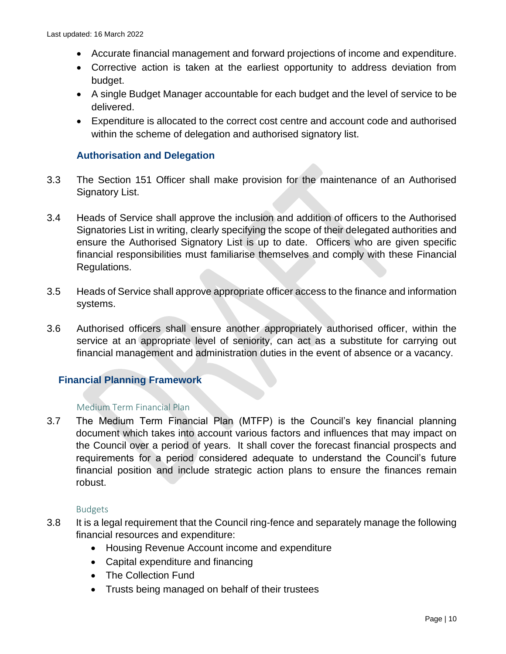- Accurate financial management and forward projections of income and expenditure.
- Corrective action is taken at the earliest opportunity to address deviation from budget.
- A single Budget Manager accountable for each budget and the level of service to be delivered.
- Expenditure is allocated to the correct cost centre and account code and authorised within the scheme of delegation and authorised signatory list.

## <span id="page-9-0"></span>**Authorisation and Delegation**

- 3.3 The Section 151 Officer shall make provision for the maintenance of an Authorised Signatory List.
- 3.4 Heads of Service shall approve the inclusion and addition of officers to the Authorised Signatories List in writing, clearly specifying the scope of their delegated authorities and ensure the Authorised Signatory List is up to date. Officers who are given specific financial responsibilities must familiarise themselves and comply with these Financial Regulations.
- 3.5 Heads of Service shall approve appropriate officer access to the finance and information systems.
- 3.6 Authorised officers shall ensure another appropriately authorised officer, within the service at an appropriate level of seniority, can act as a substitute for carrying out financial management and administration duties in the event of absence or a vacancy.

# <span id="page-9-1"></span>**Financial Planning Framework**

#### <span id="page-9-2"></span>Medium Term Financial Plan

3.7 The Medium Term Financial Plan (MTFP) is the Council's key financial planning document which takes into account various factors and influences that may impact on the Council over a period of years. It shall cover the forecast financial prospects and requirements for a period considered adequate to understand the Council's future financial position and include strategic action plans to ensure the finances remain robust.

#### Budgets

- <span id="page-9-3"></span>3.8 It is a legal requirement that the Council ring-fence and separately manage the following financial resources and expenditure:
	- Housing Revenue Account income and expenditure
	- Capital expenditure and financing
	- The Collection Fund
	- Trusts being managed on behalf of their trustees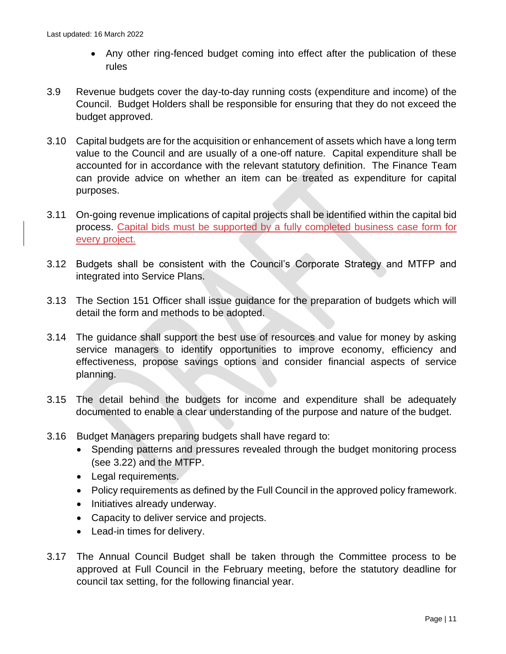- Any other ring-fenced budget coming into effect after the publication of these rules
- 3.9 Revenue budgets cover the day-to-day running costs (expenditure and income) of the Council. Budget Holders shall be responsible for ensuring that they do not exceed the budget approved.
- 3.10 Capital budgets are for the acquisition or enhancement of assets which have a long term value to the Council and are usually of a one-off nature. Capital expenditure shall be accounted for in accordance with the relevant statutory definition. The Finance Team can provide advice on whether an item can be treated as expenditure for capital purposes.
- 3.11 On-going revenue implications of capital projects shall be identified within the capital bid process. Capital bids must be supported by a fully completed business case form for every project.
- 3.12 Budgets shall be consistent with the Council's Corporate Strategy and MTFP and integrated into Service Plans.
- 3.13 The Section 151 Officer shall issue guidance for the preparation of budgets which will detail the form and methods to be adopted.
- 3.14 The guidance shall support the best use of resources and value for money by asking service managers to identify opportunities to improve economy, efficiency and effectiveness, propose savings options and consider financial aspects of service planning.
- 3.15 The detail behind the budgets for income and expenditure shall be adequately documented to enable a clear understanding of the purpose and nature of the budget.
- 3.16 Budget Managers preparing budgets shall have regard to:
	- Spending patterns and pressures revealed through the budget monitoring process (see 3.22) and the MTFP.
	- Legal requirements.
	- Policy requirements as defined by the Full Council in the approved policy framework.
	- Initiatives already underway.
	- Capacity to deliver service and projects.
	- Lead-in times for delivery.
- 3.17 The Annual Council Budget shall be taken through the Committee process to be approved at Full Council in the February meeting, before the statutory deadline for council tax setting, for the following financial year.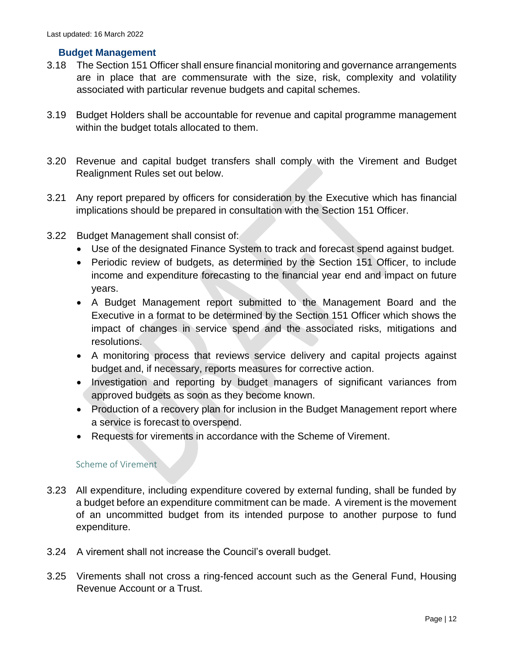#### <span id="page-11-0"></span>**Budget Management**

- 3.18 The Section 151 Officer shall ensure financial monitoring and governance arrangements are in place that are commensurate with the size, risk, complexity and volatility associated with particular revenue budgets and capital schemes.
- 3.19 Budget Holders shall be accountable for revenue and capital programme management within the budget totals allocated to them.
- 3.20 Revenue and capital budget transfers shall comply with the Virement and Budget Realignment Rules set out below.
- 3.21 Any report prepared by officers for consideration by the Executive which has financial implications should be prepared in consultation with the Section 151 Officer.
- 3.22 Budget Management shall consist of:
	- Use of the designated Finance System to track and forecast spend against budget.
	- Periodic review of budgets, as determined by the Section 151 Officer, to include income and expenditure forecasting to the financial year end and impact on future years.
	- A Budget Management report submitted to the Management Board and the Executive in a format to be determined by the Section 151 Officer which shows the impact of changes in service spend and the associated risks, mitigations and resolutions.
	- A monitoring process that reviews service delivery and capital projects against budget and, if necessary, reports measures for corrective action.
	- Investigation and reporting by budget managers of significant variances from approved budgets as soon as they become known.
	- Production of a recovery plan for inclusion in the Budget Management report where a service is forecast to overspend.
	- Requests for virements in accordance with the Scheme of Virement.

#### Scheme of Virement

- <span id="page-11-1"></span>3.23 All expenditure, including expenditure covered by external funding, shall be funded by a budget before an expenditure commitment can be made. A virement is the movement of an uncommitted budget from its intended purpose to another purpose to fund expenditure.
- 3.24 A virement shall not increase the Council's overall budget.
- 3.25 Virements shall not cross a ring-fenced account such as the General Fund, Housing Revenue Account or a Trust.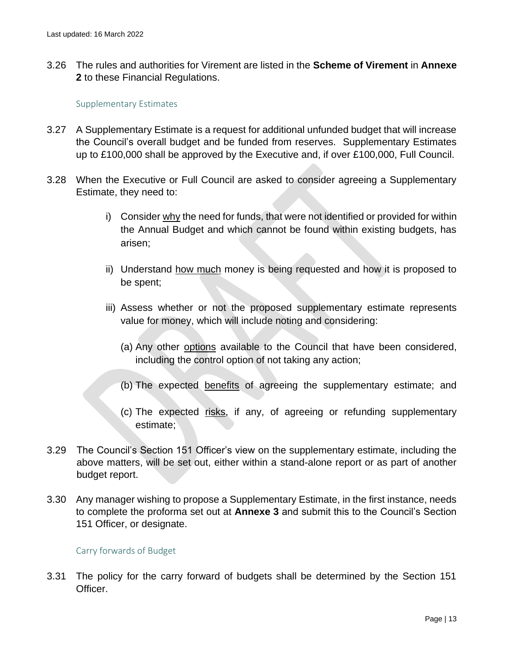3.26 The rules and authorities for Virement are listed in the **Scheme of Virement** in **Annexe 2** to these Financial Regulations.

#### Supplementary Estimates

- <span id="page-12-0"></span>3.27 A Supplementary Estimate is a request for additional unfunded budget that will increase the Council's overall budget and be funded from reserves. Supplementary Estimates up to £100,000 shall be approved by the Executive and, if over £100,000, Full Council.
- 3.28 When the Executive or Full Council are asked to consider agreeing a Supplementary Estimate, they need to:
	- i) Consider why the need for funds, that were not identified or provided for within the Annual Budget and which cannot be found within existing budgets, has arisen;
	- ii) Understand how much money is being requested and how it is proposed to be spent;
	- iii) Assess whether or not the proposed supplementary estimate represents value for money, which will include noting and considering:
		- (a) Any other options available to the Council that have been considered, including the control option of not taking any action;
		- (b) The expected benefits of agreeing the supplementary estimate; and
		- (c) The expected risks, if any, of agreeing or refunding supplementary estimate;
- 3.29 The Council's Section 151 Officer's view on the supplementary estimate, including the above matters, will be set out, either within a stand-alone report or as part of another budget report.
- 3.30 Any manager wishing to propose a Supplementary Estimate, in the first instance, needs to complete the proforma set out at **Annexe 3** and submit this to the Council's Section 151 Officer, or designate.

#### Carry forwards of Budget

<span id="page-12-1"></span>3.31 The policy for the carry forward of budgets shall be determined by the Section 151 Officer.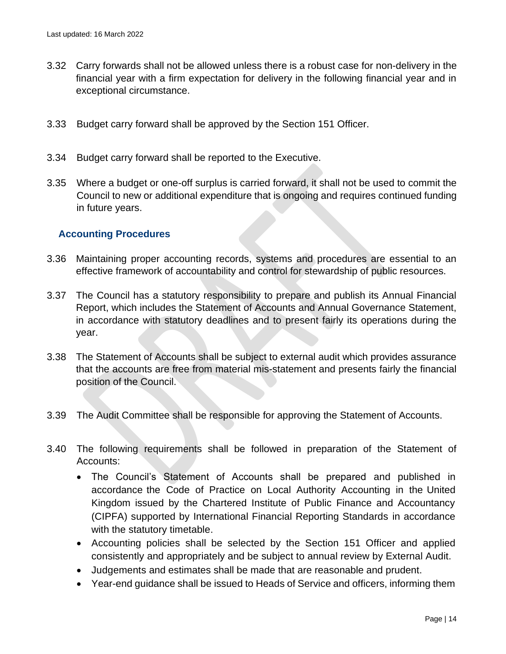- 3.32 Carry forwards shall not be allowed unless there is a robust case for non-delivery in the financial year with a firm expectation for delivery in the following financial year and in exceptional circumstance.
- 3.33 Budget carry forward shall be approved by the Section 151 Officer.
- 3.34 Budget carry forward shall be reported to the Executive.
- 3.35 Where a budget or one-off surplus is carried forward, it shall not be used to commit the Council to new or additional expenditure that is ongoing and requires continued funding in future years.

#### <span id="page-13-0"></span>**Accounting Procedures**

- 3.36 Maintaining proper accounting records, systems and procedures are essential to an effective framework of accountability and control for stewardship of public resources.
- 3.37 The Council has a statutory responsibility to prepare and publish its Annual Financial Report, which includes the Statement of Accounts and Annual Governance Statement, in accordance with statutory deadlines and to present fairly its operations during the year.
- 3.38 The Statement of Accounts shall be subject to external audit which provides assurance that the accounts are free from material mis-statement and presents fairly the financial position of the Council.
- 3.39 The Audit Committee shall be responsible for approving the Statement of Accounts.
- 3.40 The following requirements shall be followed in preparation of the Statement of Accounts:
	- The Council's Statement of Accounts shall be prepared and published in accordance the Code of Practice on Local Authority Accounting in the United Kingdom issued by the Chartered Institute of Public Finance and Accountancy (CIPFA) supported by International Financial Reporting Standards in accordance with the statutory timetable.
	- Accounting policies shall be selected by the Section 151 Officer and applied consistently and appropriately and be subject to annual review by External Audit.
	- Judgements and estimates shall be made that are reasonable and prudent.
	- Year-end guidance shall be issued to Heads of Service and officers, informing them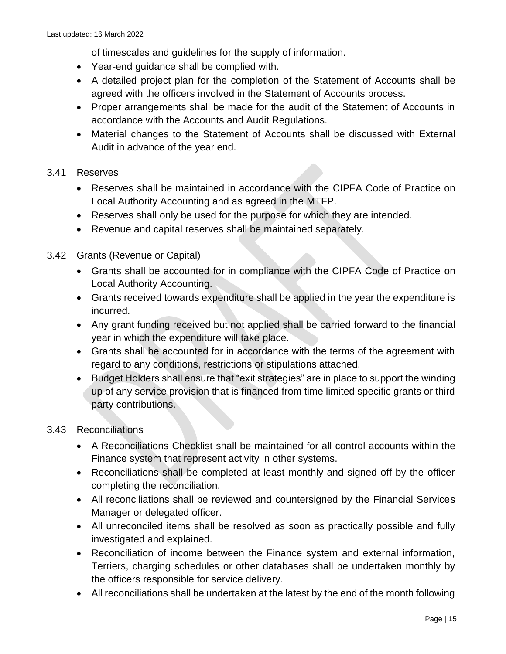of timescales and guidelines for the supply of information.

- Year-end guidance shall be complied with.
- A detailed project plan for the completion of the Statement of Accounts shall be agreed with the officers involved in the Statement of Accounts process.
- Proper arrangements shall be made for the audit of the Statement of Accounts in accordance with the Accounts and Audit Regulations.
- Material changes to the Statement of Accounts shall be discussed with External Audit in advance of the year end.

# 3.41 Reserves

- Reserves shall be maintained in accordance with the CIPFA Code of Practice on Local Authority Accounting and as agreed in the MTFP.
- Reserves shall only be used for the purpose for which they are intended.
- Revenue and capital reserves shall be maintained separately.
- 3.42 Grants (Revenue or Capital)
	- Grants shall be accounted for in compliance with the CIPFA Code of Practice on Local Authority Accounting.
	- Grants received towards expenditure shall be applied in the year the expenditure is incurred.
	- Any grant funding received but not applied shall be carried forward to the financial year in which the expenditure will take place.
	- Grants shall be accounted for in accordance with the terms of the agreement with regard to any conditions, restrictions or stipulations attached.
	- Budget Holders shall ensure that "exit strategies" are in place to support the winding up of any service provision that is financed from time limited specific grants or third party contributions.

# 3.43 Reconciliations

- A Reconciliations Checklist shall be maintained for all control accounts within the Finance system that represent activity in other systems.
- Reconciliations shall be completed at least monthly and signed off by the officer completing the reconciliation.
- All reconciliations shall be reviewed and countersigned by the Financial Services Manager or delegated officer.
- All unreconciled items shall be resolved as soon as practically possible and fully investigated and explained.
- Reconciliation of income between the Finance system and external information, Terriers, charging schedules or other databases shall be undertaken monthly by the officers responsible for service delivery.
- All reconciliations shall be undertaken at the latest by the end of the month following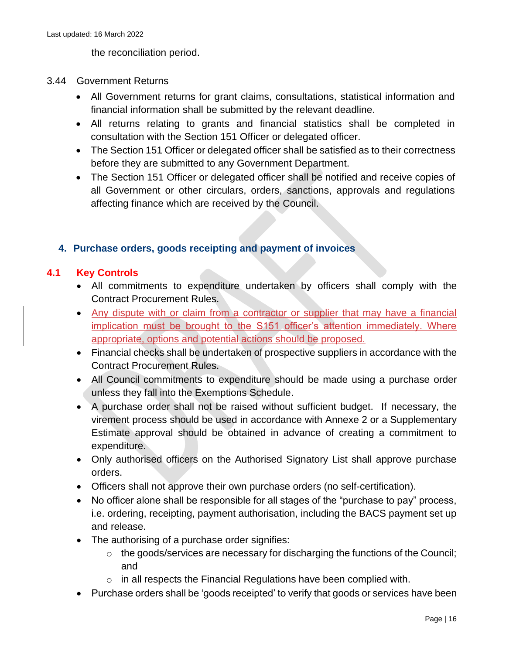the reconciliation period.

#### 3.44 Government Returns

- All Government returns for grant claims, consultations, statistical information and financial information shall be submitted by the relevant deadline.
- All returns relating to grants and financial statistics shall be completed in consultation with the Section 151 Officer or delegated officer.
- The Section 151 Officer or delegated officer shall be satisfied as to their correctness before they are submitted to any Government Department.
- The Section 151 Officer or delegated officer shall be notified and receive copies of all Government or other circulars, orders, sanctions, approvals and regulations affecting finance which are received by the Council.

# <span id="page-15-0"></span>**4. Purchase orders, goods receipting and payment of invoices**

# **4.1 Key Controls**

- All commitments to expenditure undertaken by officers shall comply with the Contract Procurement Rules.
- Any dispute with or claim from a contractor or supplier that may have a financial implication must be brought to the S151 officer's attention immediately. Where appropriate, options and potential actions should be proposed.
- Financial checks shall be undertaken of prospective suppliers in accordance with the Contract Procurement Rules.
- All Council commitments to expenditure should be made using a purchase order unless they fall into the Exemptions Schedule.
- A purchase order shall not be raised without sufficient budget. If necessary, the virement process should be used in accordance with Annexe 2 or a Supplementary Estimate approval should be obtained in advance of creating a commitment to expenditure.
- Only authorised officers on the Authorised Signatory List shall approve purchase orders.
- Officers shall not approve their own purchase orders (no self-certification).
- No officer alone shall be responsible for all stages of the "purchase to pay" process, i.e. ordering, receipting, payment authorisation, including the BACS payment set up and release.
- The authorising of a purchase order signifies:
	- o the goods/services are necessary for discharging the functions of the Council; and
	- $\circ$  in all respects the Financial Regulations have been complied with.
- Purchase orders shall be 'goods receipted' to verify that goods or services have been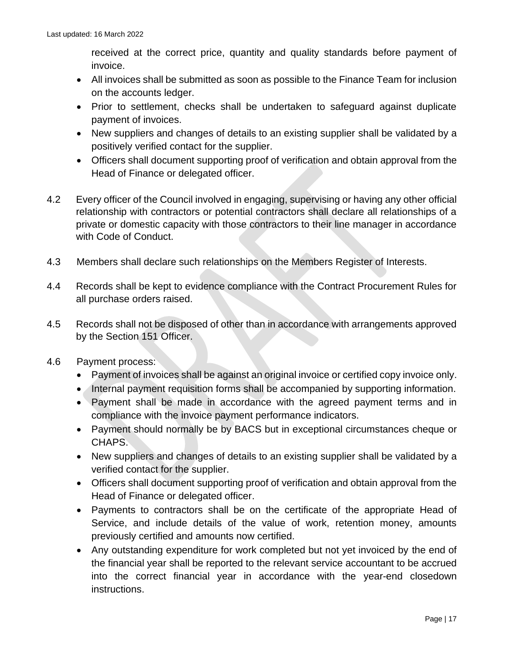received at the correct price, quantity and quality standards before payment of invoice.

- All invoices shall be submitted as soon as possible to the Finance Team for inclusion on the accounts ledger.
- Prior to settlement, checks shall be undertaken to safeguard against duplicate payment of invoices.
- New suppliers and changes of details to an existing supplier shall be validated by a positively verified contact for the supplier.
- Officers shall document supporting proof of verification and obtain approval from the Head of Finance or delegated officer.
- 4.2 Every officer of the Council involved in engaging, supervising or having any other official relationship with contractors or potential contractors shall declare all relationships of a private or domestic capacity with those contractors to their line manager in accordance with Code of Conduct.
- 4.3 Members shall declare such relationships on the Members Register of Interests.
- 4.4 Records shall be kept to evidence compliance with the Contract Procurement Rules for all purchase orders raised.
- 4.5 Records shall not be disposed of other than in accordance with arrangements approved by the Section 151 Officer.
- 4.6 Payment process:
	- Payment of invoices shall be against an original invoice or certified copy invoice only.
	- Internal payment requisition forms shall be accompanied by supporting information.
	- Payment shall be made in accordance with the agreed payment terms and in compliance with the invoice payment performance indicators.
	- Payment should normally be by BACS but in exceptional circumstances cheque or CHAPS.
	- New suppliers and changes of details to an existing supplier shall be validated by a verified contact for the supplier.
	- Officers shall document supporting proof of verification and obtain approval from the Head of Finance or delegated officer.
	- Payments to contractors shall be on the certificate of the appropriate Head of Service, and include details of the value of work, retention money, amounts previously certified and amounts now certified.
	- Any outstanding expenditure for work completed but not yet invoiced by the end of the financial year shall be reported to the relevant service accountant to be accrued into the correct financial year in accordance with the year-end closedown instructions.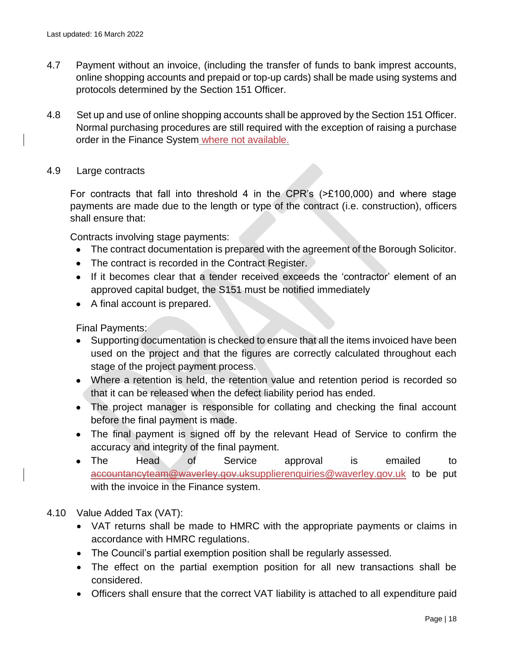- 4.7 Payment without an invoice, (including the transfer of funds to bank imprest accounts, online shopping accounts and prepaid or top-up cards) shall be made using systems and protocols determined by the Section 151 Officer.
- 4.8 Set up and use of online shopping accounts shall be approved by the Section 151 Officer. Normal purchasing procedures are still required with the exception of raising a purchase order in the Finance System where not available.
- 4.9 Large contracts

For contracts that fall into threshold 4 in the CPR's (>£100,000) and where stage payments are made due to the length or type of the contract (i.e. construction), officers shall ensure that:

Contracts involving stage payments:

- The contract documentation is prepared with the agreement of the Borough Solicitor.
- The contract is recorded in the Contract Register.
- If it becomes clear that a tender received exceeds the 'contractor' element of an approved capital budget, the S151 must be notified immediately
- A final account is prepared.

Final Payments:

- Supporting documentation is checked to ensure that all the items invoiced have been used on the project and that the figures are correctly calculated throughout each stage of the project payment process.
- Where a retention is held, the retention value and retention period is recorded so that it can be released when the defect liability period has ended.
- The project manager is responsible for collating and checking the final account before the final payment is made.
- The final payment is signed off by the relevant Head of Service to confirm the accuracy and integrity of the final payment.
- The Head of Service approval is emailed to accountancyteam@waverley.gov.u[ksupplierenquiries@waverley.gov.uk](mailto:accountancyteam@waverley.gov.uk) to be put with the invoice in the Finance system.
- 4.10 Value Added Tax (VAT):
	- VAT returns shall be made to HMRC with the appropriate payments or claims in accordance with HMRC regulations.
	- The Council's partial exemption position shall be regularly assessed.
	- The effect on the partial exemption position for all new transactions shall be considered.
	- Officers shall ensure that the correct VAT liability is attached to all expenditure paid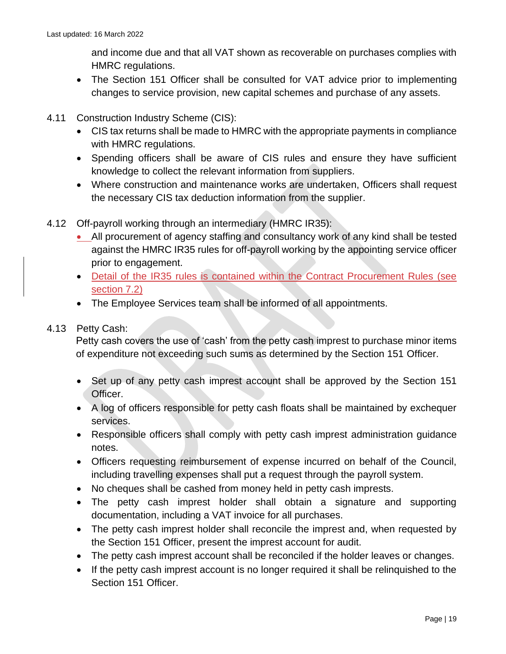and income due and that all VAT shown as recoverable on purchases complies with HMRC regulations.

- The Section 151 Officer shall be consulted for VAT advice prior to implementing changes to service provision, new capital schemes and purchase of any assets.
- 4.11 Construction Industry Scheme (CIS):
	- CIS tax returns shall be made to HMRC with the appropriate payments in compliance with HMRC regulations.
	- Spending officers shall be aware of CIS rules and ensure they have sufficient knowledge to collect the relevant information from suppliers.
	- Where construction and maintenance works are undertaken, Officers shall request the necessary CIS tax deduction information from the supplier.
- 4.12 Off-payroll working through an intermediary (HMRC IR35):
	- All procurement of agency staffing and consultancy work of any kind shall be tested against the HMRC IR35 rules for off-payroll working by the appointing service officer prior to engagement.
	- Detail of the IR35 rules is contained within the Contract Procurement Rules (see section 7.2)
	- The Employee Services team shall be informed of all appointments.

# 4.13 Petty Cash:

Petty cash covers the use of 'cash' from the petty cash imprest to purchase minor items of expenditure not exceeding such sums as determined by the Section 151 Officer.

- Set up of any petty cash imprest account shall be approved by the Section 151 Officer.
- A log of officers responsible for petty cash floats shall be maintained by exchequer services.
- Responsible officers shall comply with petty cash imprest administration guidance notes.
- Officers requesting reimbursement of expense incurred on behalf of the Council, including travelling expenses shall put a request through the payroll system.
- No cheques shall be cashed from money held in petty cash imprests.
- The petty cash imprest holder shall obtain a signature and supporting documentation, including a VAT invoice for all purchases.
- The petty cash imprest holder shall reconcile the imprest and, when requested by the Section 151 Officer, present the imprest account for audit.
- The petty cash imprest account shall be reconciled if the holder leaves or changes.
- If the petty cash imprest account is no longer required it shall be relinquished to the Section 151 Officer.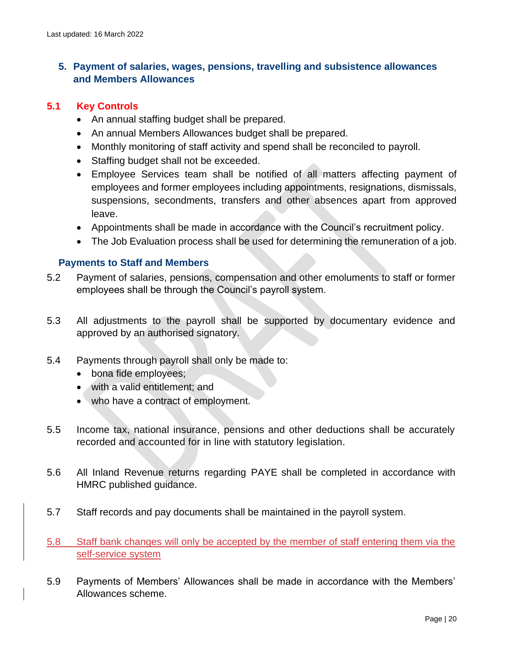# <span id="page-19-0"></span>**5. Payment of salaries, wages, pensions, travelling and subsistence allowances and Members Allowances**

#### **5.1 Key Controls**

- An annual staffing budget shall be prepared.
- An annual Members Allowances budget shall be prepared.
- Monthly monitoring of staff activity and spend shall be reconciled to payroll.
- Staffing budget shall not be exceeded.
- Employee Services team shall be notified of all matters affecting payment of employees and former employees including appointments, resignations, dismissals, suspensions, secondments, transfers and other absences apart from approved leave.
- Appointments shall be made in accordance with the Council's recruitment policy.
- The Job Evaluation process shall be used for determining the remuneration of a job.

#### <span id="page-19-1"></span>**Payments to Staff and Members**

- 5.2 Payment of salaries, pensions, compensation and other emoluments to staff or former employees shall be through the Council's payroll system.
- 5.3 All adjustments to the payroll shall be supported by documentary evidence and approved by an authorised signatory.
- 5.4 Payments through payroll shall only be made to:
	- bona fide employees;
	- with a valid entitlement; and
	- who have a contract of employment.
- 5.5 Income tax, national insurance, pensions and other deductions shall be accurately recorded and accounted for in line with statutory legislation.
- 5.6 All Inland Revenue returns regarding PAYE shall be completed in accordance with HMRC published guidance.
- 5.7 Staff records and pay documents shall be maintained in the payroll system.
- 5.8 Staff bank changes will only be accepted by the member of staff entering them via the self-service system
- 5.9 Payments of Members' Allowances shall be made in accordance with the Members' Allowances scheme.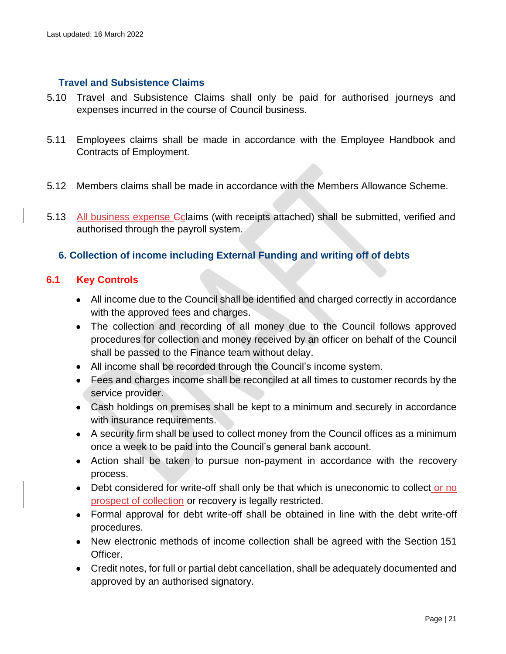#### <span id="page-20-0"></span>**Travel and Subsistence Claims**

- 5.10 Travel and Subsistence Claims shall only be paid for authorised journeys and expenses incurred in the course of Council business.
- 5.11 Employees claims shall be made in accordance with the Employee Handbook and Contracts of Employment.
- 5.12 Members claims shall be made in accordance with the Members Allowance Scheme.
- 5.13 All business expense Cclaims (with receipts attached) shall be submitted, verified and authorised through the payroll system.

#### <span id="page-20-1"></span>**6. Collection of income including External Funding and writing off of debts**

#### **6.1 Key Controls**

- All income due to the Council shall be identified and charged correctly in accordance with the approved fees and charges.
- The collection and recording of all money due to the Council follows approved procedures for collection and money received by an officer on behalf of the Council shall be passed to the Finance team without delay.
- All income shall be recorded through the Council's income system.
- Fees and charges income shall be reconciled at all times to customer records by the service provider.
- Cash holdings on premises shall be kept to a minimum and securely in accordance with insurance requirements.
- A security firm shall be used to collect money from the Council offices as a minimum once a week to be paid into the Council's general bank account.
- Action shall be taken to pursue non-payment in accordance with the recovery process.
- Debt considered for write-off shall only be that which is uneconomic to collect or no prospect of collection or recovery is legally restricted.
- Formal approval for debt write-off shall be obtained in line with the debt write-off procedures.
- New electronic methods of income collection shall be agreed with the Section 151 Officer.
- Credit notes, for full or partial debt cancellation, shall be adequately documented and approved by an authorised signatory.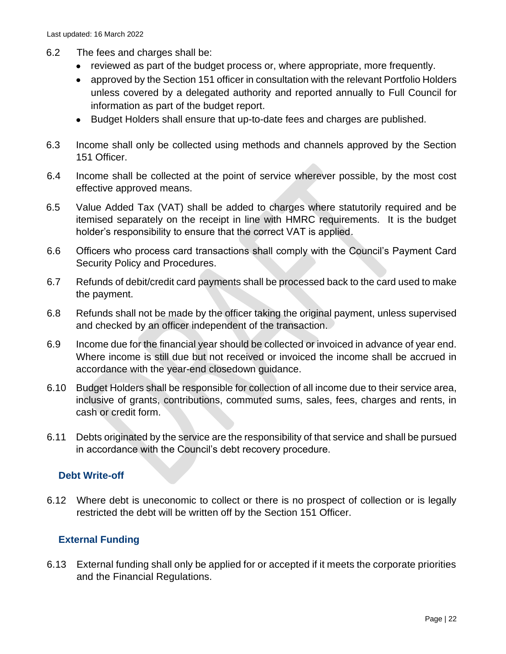- 6.2 The fees and charges shall be:
	- reviewed as part of the budget process or, where appropriate, more frequently.
	- approved by the Section 151 officer in consultation with the relevant Portfolio Holders unless covered by a delegated authority and reported annually to Full Council for information as part of the budget report.
	- Budget Holders shall ensure that up-to-date fees and charges are published.
- 6.3 Income shall only be collected using methods and channels approved by the Section 151 Officer.
- 6.4 Income shall be collected at the point of service wherever possible, by the most cost effective approved means.
- 6.5 Value Added Tax (VAT) shall be added to charges where statutorily required and be itemised separately on the receipt in line with HMRC requirements. It is the budget holder's responsibility to ensure that the correct VAT is applied.
- 6.6 Officers who process card transactions shall comply with the Council's Payment Card Security Policy and Procedures.
- 6.7 Refunds of debit/credit card payments shall be processed back to the card used to make the payment.
- 6.8 Refunds shall not be made by the officer taking the original payment, unless supervised and checked by an officer independent of the transaction.
- 6.9 Income due for the financial year should be collected or invoiced in advance of year end. Where income is still due but not received or invoiced the income shall be accrued in accordance with the year-end closedown guidance.
- 6.10 Budget Holders shall be responsible for collection of all income due to their service area, inclusive of grants, contributions, commuted sums, sales, fees, charges and rents, in cash or credit form.
- 6.11 Debts originated by the service are the responsibility of that service and shall be pursued in accordance with the Council's debt recovery procedure.

# <span id="page-21-0"></span>**Debt Write-off**

6.12 Where debt is uneconomic to collect or there is no prospect of collection or is legally restricted the debt will be written off by the Section 151 Officer.

# <span id="page-21-1"></span>**External Funding**

6.13 External funding shall only be applied for or accepted if it meets the corporate priorities and the Financial Regulations.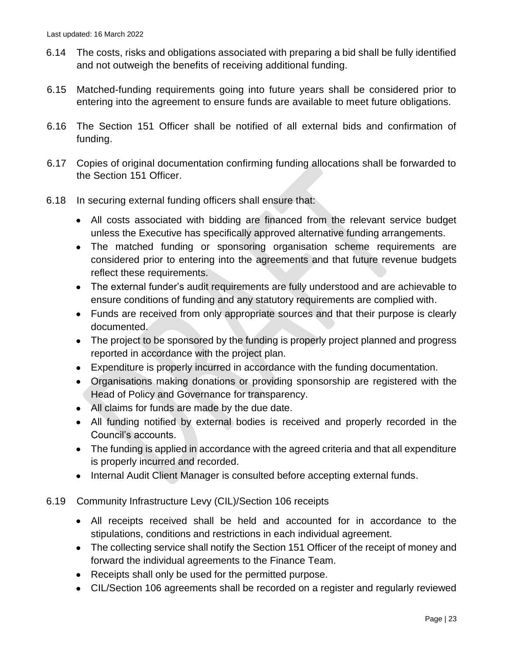- 6.14 The costs, risks and obligations associated with preparing a bid shall be fully identified and not outweigh the benefits of receiving additional funding.
- 6.15 Matched-funding requirements going into future years shall be considered prior to entering into the agreement to ensure funds are available to meet future obligations.
- 6.16 The Section 151 Officer shall be notified of all external bids and confirmation of funding.
- 6.17 Copies of original documentation confirming funding allocations shall be forwarded to the Section 151 Officer.
- 6.18 In securing external funding officers shall ensure that:
	- All costs associated with bidding are financed from the relevant service budget unless the Executive has specifically approved alternative funding arrangements.
	- The matched funding or sponsoring organisation scheme requirements are considered prior to entering into the agreements and that future revenue budgets reflect these requirements.
	- The external funder's audit requirements are fully understood and are achievable to ensure conditions of funding and any statutory requirements are complied with.
	- Funds are received from only appropriate sources and that their purpose is clearly documented.
	- The project to be sponsored by the funding is properly project planned and progress reported in accordance with the project plan.
	- Expenditure is properly incurred in accordance with the funding documentation.
	- Organisations making donations or providing sponsorship are registered with the Head of Policy and Governance for transparency.
	- All claims for funds are made by the due date.
	- All funding notified by external bodies is received and properly recorded in the Council's accounts.
	- The funding is applied in accordance with the agreed criteria and that all expenditure is properly incurred and recorded.
	- Internal Audit Client Manager is consulted before accepting external funds.
- 6.19 Community Infrastructure Levy (CIL)/Section 106 receipts
	- All receipts received shall be held and accounted for in accordance to the stipulations, conditions and restrictions in each individual agreement.
	- The collecting service shall notify the Section 151 Officer of the receipt of money and forward the individual agreements to the Finance Team.
	- Receipts shall only be used for the permitted purpose.
	- CIL/Section 106 agreements shall be recorded on a register and regularly reviewed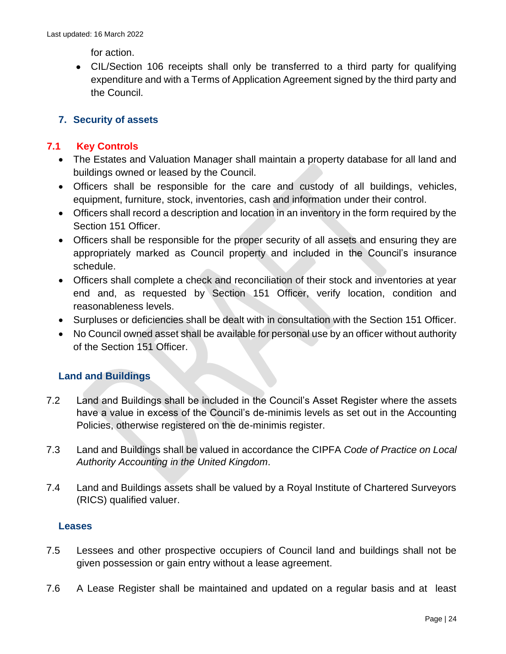for action.

• CIL/Section 106 receipts shall only be transferred to a third party for qualifying expenditure and with a Terms of Application Agreement signed by the third party and the Council.

# <span id="page-23-0"></span>**7. Security of assets**

# **7.1 Key Controls**

- The Estates and Valuation Manager shall maintain a property database for all land and buildings owned or leased by the Council.
- Officers shall be responsible for the care and custody of all buildings, vehicles, equipment, furniture, stock, inventories, cash and information under their control.
- Officers shall record a description and location in an inventory in the form required by the Section 151 Officer.
- Officers shall be responsible for the proper security of all assets and ensuring they are appropriately marked as Council property and included in the Council's insurance schedule.
- Officers shall complete a check and reconciliation of their stock and inventories at year end and, as requested by Section 151 Officer, verify location, condition and reasonableness levels.
- Surpluses or deficiencies shall be dealt with in consultation with the Section 151 Officer.
- No Council owned asset shall be available for personal use by an officer without authority of the Section 151 Officer.

# <span id="page-23-1"></span>**Land and Buildings**

- 7.2 Land and Buildings shall be included in the Council's Asset Register where the assets have a value in excess of the Council's de-minimis levels as set out in the Accounting Policies, otherwise registered on the de-minimis register.
- 7.3 Land and Buildings shall be valued in accordance the CIPFA *Code of Practice on Local Authority Accounting in the United Kingdom*.
- 7.4 Land and Buildings assets shall be valued by a Royal Institute of Chartered Surveyors (RICS) qualified valuer.

# <span id="page-23-2"></span>**Leases**

- 7.5 Lessees and other prospective occupiers of Council land and buildings shall not be given possession or gain entry without a lease agreement.
- 7.6 A Lease Register shall be maintained and updated on a regular basis and at least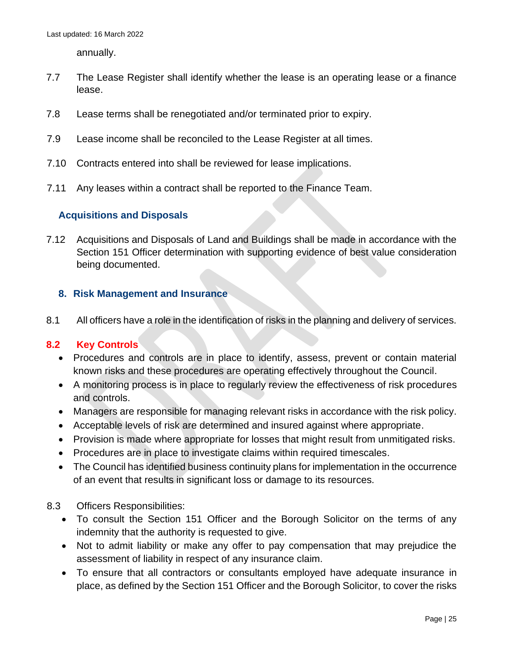annually.

- 7.7 The Lease Register shall identify whether the lease is an operating lease or a finance lease.
- 7.8 Lease terms shall be renegotiated and/or terminated prior to expiry.
- 7.9 Lease income shall be reconciled to the Lease Register at all times.
- 7.10 Contracts entered into shall be reviewed for lease implications.
- 7.11 Any leases within a contract shall be reported to the Finance Team.

# <span id="page-24-0"></span>**Acquisitions and Disposals**

7.12 Acquisitions and Disposals of Land and Buildings shall be made in accordance with the Section 151 Officer determination with supporting evidence of best value consideration being documented.

#### <span id="page-24-1"></span>**8. Risk Management and Insurance**

8.1 All officers have a role in the identification of risks in the planning and delivery of services.

#### **8.2 Key Controls**

- Procedures and controls are in place to identify, assess, prevent or contain material known risks and these procedures are operating effectively throughout the Council.
- A monitoring process is in place to regularly review the effectiveness of risk procedures and controls.
- Managers are responsible for managing relevant risks in accordance with the risk policy.
- Acceptable levels of risk are determined and insured against where appropriate.
- Provision is made where appropriate for losses that might result from unmitigated risks.
- Procedures are in place to investigate claims within required timescales.
- The Council has identified business continuity plans for implementation in the occurrence of an event that results in significant loss or damage to its resources.
- 8.3 Officers Responsibilities:
	- To consult the Section 151 Officer and the Borough Solicitor on the terms of any indemnity that the authority is requested to give.
	- Not to admit liability or make any offer to pay compensation that may prejudice the assessment of liability in respect of any insurance claim.
	- To ensure that all contractors or consultants employed have adequate insurance in place, as defined by the Section 151 Officer and the Borough Solicitor, to cover the risks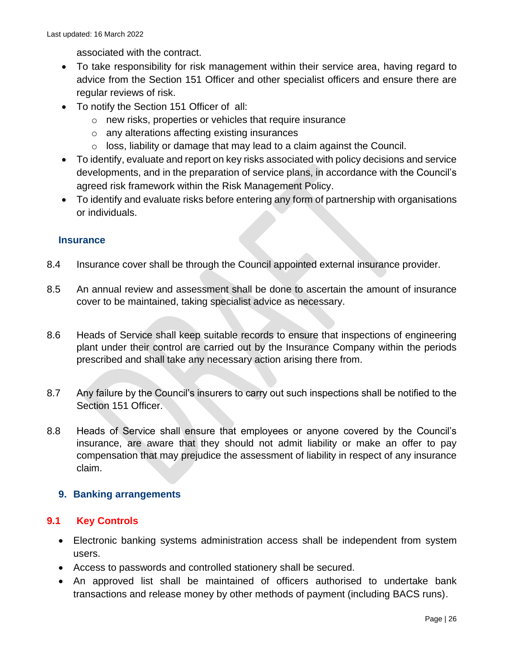associated with the contract.

- To take responsibility for risk management within their service area, having regard to advice from the Section 151 Officer and other specialist officers and ensure there are regular reviews of risk.
- To notify the Section 151 Officer of all:
	- o new risks, properties or vehicles that require insurance
	- o any alterations affecting existing insurances
	- $\circ$  loss, liability or damage that may lead to a claim against the Council.
- To identify, evaluate and report on key risks associated with policy decisions and service developments, and in the preparation of service plans, in accordance with the Council's agreed risk framework within the Risk Management Policy.
- To identify and evaluate risks before entering any form of partnership with organisations or individuals.

#### <span id="page-25-0"></span>**Insurance**

- 8.4 Insurance cover shall be through the Council appointed external insurance provider.
- 8.5 An annual review and assessment shall be done to ascertain the amount of insurance cover to be maintained, taking specialist advice as necessary.
- 8.6 Heads of Service shall keep suitable records to ensure that inspections of engineering plant under their control are carried out by the Insurance Company within the periods prescribed and shall take any necessary action arising there from.
- 8.7 Any failure by the Council's insurers to carry out such inspections shall be notified to the Section 151 Officer.
- 8.8 Heads of Service shall ensure that employees or anyone covered by the Council's insurance, are aware that they should not admit liability or make an offer to pay compensation that may prejudice the assessment of liability in respect of any insurance claim.

#### <span id="page-25-1"></span>**9. Banking arrangements**

#### **9.1 Key Controls**

- Electronic banking systems administration access shall be independent from system users.
- Access to passwords and controlled stationery shall be secured.
- An approved list shall be maintained of officers authorised to undertake bank transactions and release money by other methods of payment (including BACS runs).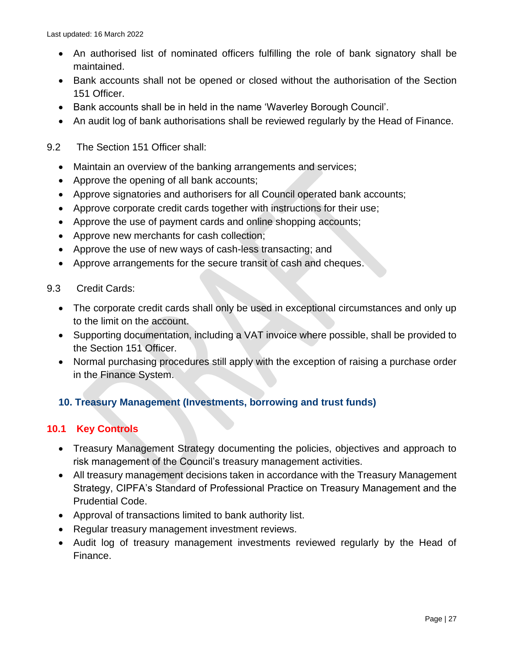- An authorised list of nominated officers fulfilling the role of bank signatory shall be maintained.
- Bank accounts shall not be opened or closed without the authorisation of the Section 151 Officer.
- Bank accounts shall be in held in the name 'Waverley Borough Council'.
- An audit log of bank authorisations shall be reviewed regularly by the Head of Finance.
- 9.2 The Section 151 Officer shall:
	- Maintain an overview of the banking arrangements and services;
	- Approve the opening of all bank accounts;
	- Approve signatories and authorisers for all Council operated bank accounts;
	- Approve corporate credit cards together with instructions for their use;
	- Approve the use of payment cards and online shopping accounts;
	- Approve new merchants for cash collection;
	- Approve the use of new ways of cash-less transacting; and
	- Approve arrangements for the secure transit of cash and cheques.
- 9.3 Credit Cards:
	- The corporate credit cards shall only be used in exceptional circumstances and only up to the limit on the account.
	- Supporting documentation, including a VAT invoice where possible, shall be provided to the Section 151 Officer.
	- Normal purchasing procedures still apply with the exception of raising a purchase order in the Finance System.

# <span id="page-26-0"></span>**10. Treasury Management (Investments, borrowing and trust funds)**

# **10.1 Key Controls**

- Treasury Management Strategy documenting the policies, objectives and approach to risk management of the Council's treasury management activities.
- All treasury management decisions taken in accordance with the Treasury Management Strategy, CIPFA's Standard of Professional Practice on Treasury Management and the Prudential Code.
- Approval of transactions limited to bank authority list.
- Regular treasury management investment reviews.
- Audit log of treasury management investments reviewed regularly by the Head of Finance.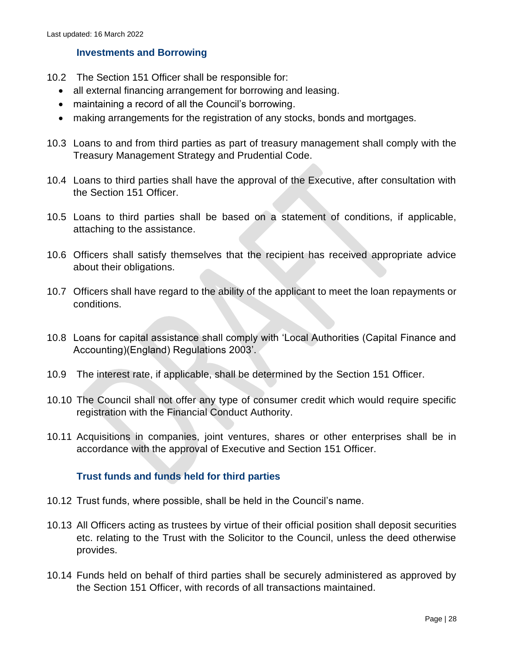#### <span id="page-27-0"></span>**Investments and Borrowing**

- 10.2 The Section 151 Officer shall be responsible for:
	- all external financing arrangement for borrowing and leasing.
	- maintaining a record of all the Council's borrowing.
	- making arrangements for the registration of any stocks, bonds and mortgages.
- 10.3 Loans to and from third parties as part of treasury management shall comply with the Treasury Management Strategy and Prudential Code.
- 10.4 Loans to third parties shall have the approval of the Executive, after consultation with the Section 151 Officer.
- 10.5 Loans to third parties shall be based on a statement of conditions, if applicable, attaching to the assistance.
- 10.6 Officers shall satisfy themselves that the recipient has received appropriate advice about their obligations.
- 10.7 Officers shall have regard to the ability of the applicant to meet the loan repayments or conditions.
- 10.8 Loans for capital assistance shall comply with 'Local Authorities (Capital Finance and Accounting)(England) Regulations 2003'.
- 10.9 The interest rate, if applicable, shall be determined by the Section 151 Officer.
- 10.10 The Council shall not offer any type of consumer credit which would require specific registration with the Financial Conduct Authority.
- 10.11 Acquisitions in companies, joint ventures, shares or other enterprises shall be in accordance with the approval of Executive and Section 151 Officer.

#### <span id="page-27-1"></span>**Trust funds and funds held for third parties**

- 10.12 Trust funds, where possible, shall be held in the Council's name.
- 10.13 All Officers acting as trustees by virtue of their official position shall deposit securities etc. relating to the Trust with the Solicitor to the Council, unless the deed otherwise provides.
- 10.14 Funds held on behalf of third parties shall be securely administered as approved by the Section 151 Officer, with records of all transactions maintained.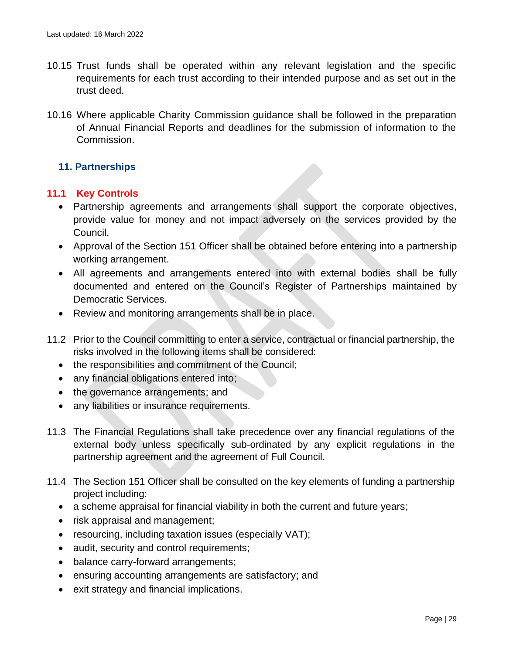- 10.15 Trust funds shall be operated within any relevant legislation and the specific requirements for each trust according to their intended purpose and as set out in the trust deed.
- 10.16 Where applicable Charity Commission guidance shall be followed in the preparation of Annual Financial Reports and deadlines for the submission of information to the Commission.

# <span id="page-28-0"></span>**11. Partnerships**

# **11.1 Key Controls**

- Partnership agreements and arrangements shall support the corporate objectives, provide value for money and not impact adversely on the services provided by the Council.
- Approval of the Section 151 Officer shall be obtained before entering into a partnership working arrangement.
- All agreements and arrangements entered into with external bodies shall be fully documented and entered on the Council's Register of Partnerships maintained by Democratic Services.
- Review and monitoring arrangements shall be in place.
- 11.2 Prior to the Council committing to enter a service, contractual or financial partnership, the risks involved in the following items shall be considered:
	- the responsibilities and commitment of the Council;
	- any financial obligations entered into;
	- the governance arrangements; and
	- any liabilities or insurance requirements.
- 11.3 The Financial Regulations shall take precedence over any financial regulations of the external body unless specifically sub-ordinated by any explicit regulations in the partnership agreement and the agreement of Full Council.
- 11.4 The Section 151 Officer shall be consulted on the key elements of funding a partnership project including:
	- a scheme appraisal for financial viability in both the current and future years;
	- risk appraisal and management;
	- resourcing, including taxation issues (especially VAT);
	- audit, security and control requirements;
	- balance carry-forward arrangements;
	- ensuring accounting arrangements are satisfactory; and
	- exit strategy and financial implications.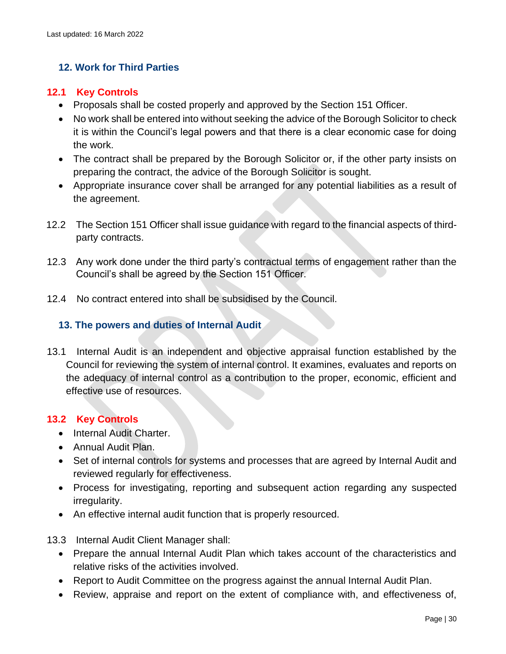# <span id="page-29-0"></span>**12. Work for Third Parties**

#### **12.1 Key Controls**

- Proposals shall be costed properly and approved by the Section 151 Officer.
- No work shall be entered into without seeking the advice of the Borough Solicitor to check it is within the Council's legal powers and that there is a clear economic case for doing the work.
- The contract shall be prepared by the Borough Solicitor or, if the other party insists on preparing the contract, the advice of the Borough Solicitor is sought.
- Appropriate insurance cover shall be arranged for any potential liabilities as a result of the agreement.
- 12.2 The Section 151 Officer shall issue guidance with regard to the financial aspects of thirdparty contracts.
- 12.3 Any work done under the third party's contractual terms of engagement rather than the Council's shall be agreed by the Section 151 Officer.
- 12.4 No contract entered into shall be subsidised by the Council.

#### <span id="page-29-1"></span>**13. The powers and duties of Internal Audit**

13.1 Internal Audit is an independent and objective appraisal function established by the Council for reviewing the system of internal control. It examines, evaluates and reports on the adequacy of internal control as a contribution to the proper, economic, efficient and effective use of resources.

# **13.2 Key Controls**

- Internal Audit Charter.
- Annual Audit Plan.
- Set of internal controls for systems and processes that are agreed by Internal Audit and reviewed regularly for effectiveness.
- Process for investigating, reporting and subsequent action regarding any suspected irregularity.
- An effective internal audit function that is properly resourced.
- 13.3 Internal Audit Client Manager shall:
	- Prepare the annual Internal Audit Plan which takes account of the characteristics and relative risks of the activities involved.
	- Report to Audit Committee on the progress against the annual Internal Audit Plan.
	- Review, appraise and report on the extent of compliance with, and effectiveness of,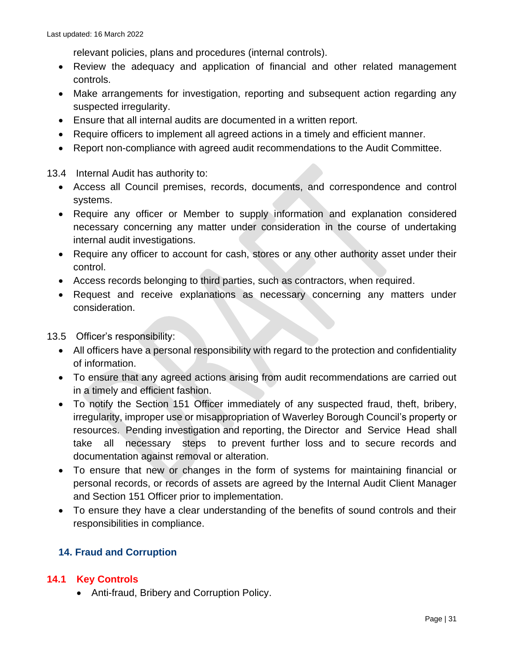relevant policies, plans and procedures (internal controls).

- Review the adequacy and application of financial and other related management controls.
- Make arrangements for investigation, reporting and subsequent action regarding any suspected irregularity.
- Ensure that all internal audits are documented in a written report.
- Require officers to implement all agreed actions in a timely and efficient manner.
- Report non-compliance with agreed audit recommendations to the Audit Committee.

13.4 Internal Audit has authority to:

- Access all Council premises, records, documents, and correspondence and control systems.
- Require any officer or Member to supply information and explanation considered necessary concerning any matter under consideration in the course of undertaking internal audit investigations.
- Require any officer to account for cash, stores or any other authority asset under their control.
- Access records belonging to third parties, such as contractors, when required.
- Request and receive explanations as necessary concerning any matters under consideration.

13.5 Officer's responsibility:

- All officers have a personal responsibility with regard to the protection and confidentiality of information.
- To ensure that any agreed actions arising from audit recommendations are carried out in a timely and efficient fashion.
- To notify the Section 151 Officer immediately of any suspected fraud, theft, bribery, irregularity, improper use or misappropriation of Waverley Borough Council's property or resources. Pending investigation and reporting, the Director and Service Head shall take all necessary steps to prevent further loss and to secure records and documentation against removal or alteration.
- To ensure that new or changes in the form of systems for maintaining financial or personal records, or records of assets are agreed by the Internal Audit Client Manager and Section 151 Officer prior to implementation.
- To ensure they have a clear understanding of the benefits of sound controls and their responsibilities in compliance.

# <span id="page-30-0"></span>**14. Fraud and Corruption**

# **14.1 Key Controls**

• Anti-fraud, Bribery and Corruption Policy.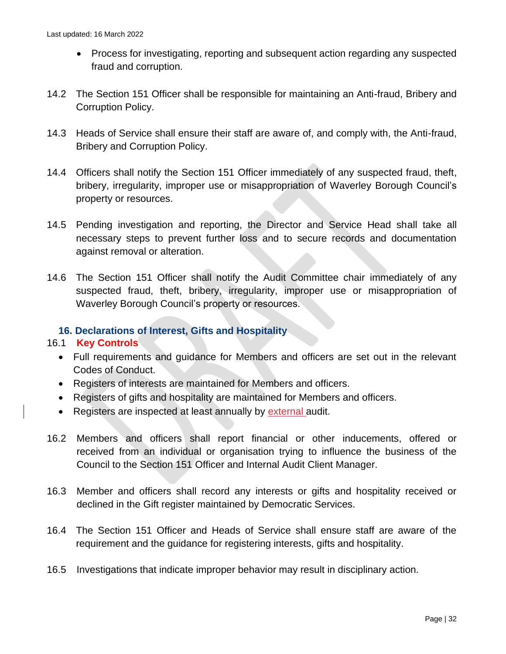- Process for investigating, reporting and subsequent action regarding any suspected fraud and corruption.
- 14.2 The Section 151 Officer shall be responsible for maintaining an Anti-fraud, Bribery and Corruption Policy.
- 14.3 Heads of Service shall ensure their staff are aware of, and comply with, the Anti-fraud, Bribery and Corruption Policy.
- 14.4 Officers shall notify the Section 151 Officer immediately of any suspected fraud, theft, bribery, irregularity, improper use or misappropriation of Waverley Borough Council's property or resources.
- 14.5 Pending investigation and reporting, the Director and Service Head shall take all necessary steps to prevent further loss and to secure records and documentation against removal or alteration.
- 14.6 The Section 151 Officer shall notify the Audit Committee chair immediately of any suspected fraud, theft, bribery, irregularity, improper use or misappropriation of Waverley Borough Council's property or resources.

# <span id="page-31-0"></span>**16. Declarations of Interest, Gifts and Hospitality**

#### 16.1 **Key Controls**

- Full requirements and guidance for Members and officers are set out in the relevant Codes of Conduct.
- Registers of interests are maintained for Members and officers.
- Registers of gifts and hospitality are maintained for Members and officers.
- Registers are inspected at least annually by external audit.
- 16.2 Members and officers shall report financial or other inducements, offered or received from an individual or organisation trying to influence the business of the Council to the Section 151 Officer and Internal Audit Client Manager.
- 16.3 Member and officers shall record any interests or gifts and hospitality received or declined in the Gift register maintained by Democratic Services.
- 16.4 The Section 151 Officer and Heads of Service shall ensure staff are aware of the requirement and the guidance for registering interests, gifts and hospitality.
- 16.5 Investigations that indicate improper behavior may result in disciplinary action.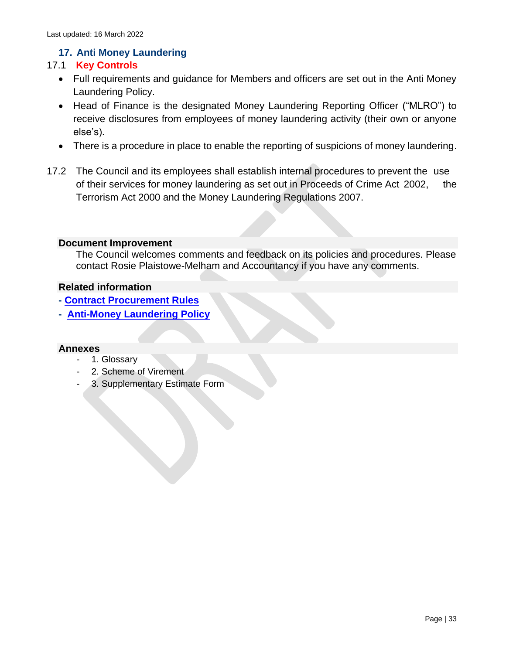# **17. Anti Money Laundering**

# <span id="page-32-0"></span>17.1 **Key Controls**

- Full requirements and guidance for Members and officers are set out in the Anti Money Laundering Policy.
- Head of Finance is the designated Money Laundering Reporting Officer ("MLRO") to receive disclosures from employees of money laundering activity (their own or anyone else's).
- There is a procedure in place to enable the reporting of suspicions of money laundering.
- 17.2 The Council and its employees shall establish internal procedures to prevent the use of their services for money laundering as set out in Proceeds of Crime Act 2002, the Terrorism Act 2000 and the Money Laundering Regulations 2007.

#### <span id="page-32-1"></span>**Document Improvement**

The Council welcomes comments and feedback on its policies and procedures. Please contact Rosie Plaistowe-Melham and Accountancy if you have any comments.

#### <span id="page-32-2"></span>**Related information**

- <span id="page-32-3"></span>**- [Contract Procurement Rules](https://www.waverley.gov.uk/Portals/0/Documents/services/business-and-licensing/doing-business-with-the-council/Contract%20Procurement%20Rules%20-%20CPRs%20-%20February%202020.pdf?ver=ZxL7zm8o1kCzig3OBdNHjQ%3d%3d)**
- <span id="page-32-4"></span>**- [Anti-Money Laundering Policy](https://waverleybc.sharepoint.com/:b:/r/sites/corppolicy/corppol/Anti%20Money%20Laundering%20Policy.pdf?csf=1&web=1&e=ARjWxF)**

#### <span id="page-32-5"></span>**Annexes**

- 1. Glossary
- 2. Scheme of Virement
- 3. Supplementary Estimate Form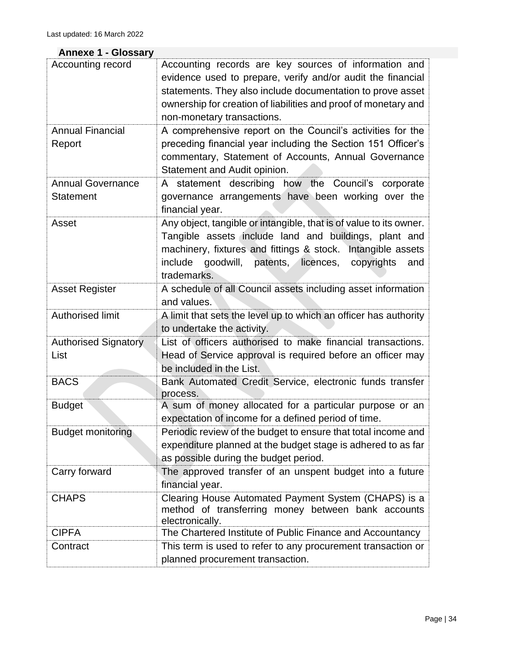#### <span id="page-33-0"></span>**Annexe 1 - Glossary**

| Accounting record           | Accounting records are key sources of information and                                            |
|-----------------------------|--------------------------------------------------------------------------------------------------|
|                             | evidence used to prepare, verify and/or audit the financial                                      |
|                             | statements. They also include documentation to prove asset                                       |
|                             | ownership for creation of liabilities and proof of monetary and                                  |
|                             | non-monetary transactions.                                                                       |
| <b>Annual Financial</b>     | A comprehensive report on the Council's activities for the                                       |
| Report                      | preceding financial year including the Section 151 Officer's                                     |
|                             | commentary, Statement of Accounts, Annual Governance                                             |
|                             | Statement and Audit opinion.                                                                     |
| <b>Annual Governance</b>    | A statement describing how the Council's corporate                                               |
| <b>Statement</b>            | governance arrangements have been working over the                                               |
|                             | financial year.                                                                                  |
| Asset                       | Any object, tangible or intangible, that is of value to its owner.                               |
|                             | Tangible assets include land and buildings, plant and                                            |
|                             | machinery, fixtures and fittings & stock. Intangible assets                                      |
|                             | include<br>goodwill,<br>patents, licences, copyrights<br>and                                     |
|                             | trademarks.                                                                                      |
| <b>Asset Register</b>       | A schedule of all Council assets including asset information                                     |
|                             | and values.                                                                                      |
| Authorised limit            | A limit that sets the level up to which an officer has authority                                 |
|                             | to undertake the activity.                                                                       |
| <b>Authorised Signatory</b> | List of officers authorised to make financial transactions.                                      |
| List                        | Head of Service approval is required before an officer may                                       |
|                             | be included in the List.                                                                         |
| <b>BACS</b>                 | Bank Automated Credit Service, electronic funds transfer<br>process.                             |
| <b>Budget</b>               | A sum of money allocated for a particular purpose or an                                          |
|                             | expectation of income for a defined period of time.                                              |
| <b>Budget monitoring</b>    | Periodic review of the budget to ensure that total income and                                    |
|                             | expenditure planned at the budget stage is adhered to as far                                     |
|                             | as possible during the budget period.                                                            |
| Carry forward               | The approved transfer of an unspent budget into a future                                         |
|                             | financial year.                                                                                  |
| <b>CHAPS</b>                | Clearing House Automated Payment System (CHAPS) is a                                             |
|                             | method of transferring money between bank accounts                                               |
| <b>CIPFA</b>                | electronically.                                                                                  |
|                             | The Chartered Institute of Public Finance and Accountancy                                        |
| Contract                    | This term is used to refer to any procurement transaction or<br>planned procurement transaction. |
|                             |                                                                                                  |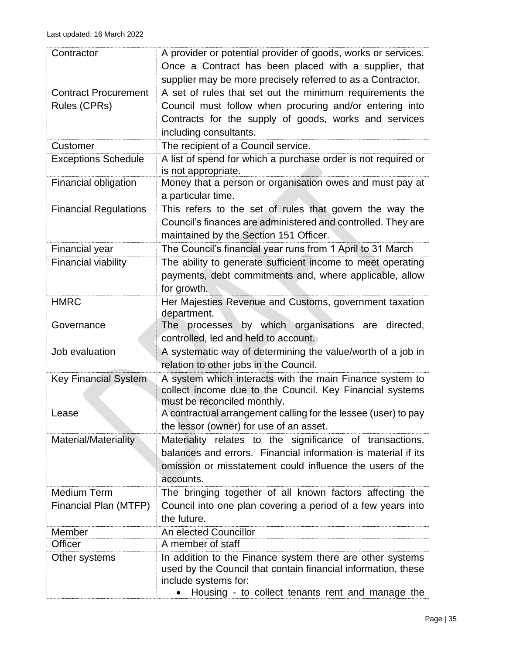| Contractor                                  | A provider or potential provider of goods, works or services.<br>Once a Contract has been placed with a supplier, that<br>supplier may be more precisely referred to as a Contractor.                  |
|---------------------------------------------|--------------------------------------------------------------------------------------------------------------------------------------------------------------------------------------------------------|
| <b>Contract Procurement</b><br>Rules (CPRs) | A set of rules that set out the minimum requirements the<br>Council must follow when procuring and/or entering into<br>Contracts for the supply of goods, works and services<br>including consultants. |
| Customer                                    | The recipient of a Council service.                                                                                                                                                                    |
| <b>Exceptions Schedule</b>                  | A list of spend for which a purchase order is not required or<br>is not appropriate.                                                                                                                   |
| Financial obligation                        | Money that a person or organisation owes and must pay at<br>a particular time.                                                                                                                         |
| <b>Financial Regulations</b>                | This refers to the set of rules that govern the way the<br>Council's finances are administered and controlled. They are<br>maintained by the Section 151 Officer.                                      |
| <b>Financial year</b>                       | The Council's financial year runs from 1 April to 31 March                                                                                                                                             |
| <b>Financial viability</b>                  | The ability to generate sufficient income to meet operating<br>payments, debt commitments and, where applicable, allow<br>for growth.                                                                  |
| <b>HMRC</b>                                 | Her Majesties Revenue and Customs, government taxation<br>department.                                                                                                                                  |
| Governance                                  | processes by which organisations are directed,<br>The<br>controlled, led and held to account.                                                                                                          |
| Job evaluation                              | A systematic way of determining the value/worth of a job in<br>relation to other jobs in the Council.                                                                                                  |
| <b>Key Financial System</b>                 | A system which interacts with the main Finance system to<br>collect income due to the Council. Key Financial systems<br>must be reconciled monthly.                                                    |
| Lease                                       | A contractual arrangement calling for the lessee (user) to pay<br>the lessor (owner) for use of an asset.                                                                                              |
| Material/Materiality                        | Materiality relates to the significance of transactions,<br>balances and errors. Financial information is material if its<br>omission or misstatement could influence the users of the<br>accounts.    |
| <b>Medium Term</b><br>Financial Plan (MTFP) | The bringing together of all known factors affecting the<br>Council into one plan covering a period of a few years into<br>the future.                                                                 |
| Member                                      | An elected Councillor                                                                                                                                                                                  |
| Officer                                     | A member of staff                                                                                                                                                                                      |
| Other systems                               | In addition to the Finance system there are other systems<br>used by the Council that contain financial information, these<br>include systems for:<br>Housing - to collect tenants rent and manage the |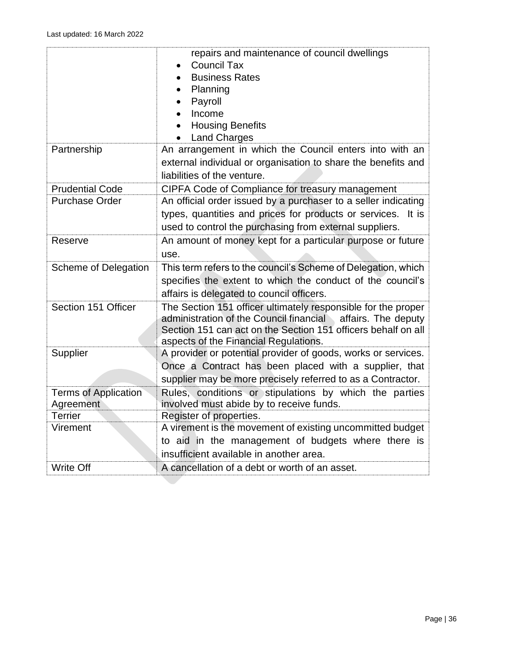|                             | repairs and maintenance of council dwellings                   |
|-----------------------------|----------------------------------------------------------------|
|                             | <b>Council Tax</b>                                             |
|                             | <b>Business Rates</b>                                          |
|                             | Planning                                                       |
|                             | Payroll                                                        |
|                             | Income                                                         |
|                             | <b>Housing Benefits</b>                                        |
|                             | <b>Land Charges</b>                                            |
| Partnership                 | An arrangement in which the Council enters into with an        |
|                             | external individual or organisation to share the benefits and  |
|                             | liabilities of the venture.                                    |
| <b>Prudential Code</b>      | CIPFA Code of Compliance for treasury management               |
| <b>Purchase Order</b>       | An official order issued by a purchaser to a seller indicating |
|                             | types, quantities and prices for products or services. It is   |
|                             | used to control the purchasing from external suppliers.        |
| Reserve                     | An amount of money kept for a particular purpose or future     |
|                             | use.                                                           |
| Scheme of Delegation        | This term refers to the council's Scheme of Delegation, which  |
|                             | specifies the extent to which the conduct of the council's     |
|                             | affairs is delegated to council officers.                      |
| Section 151 Officer         | The Section 151 officer ultimately responsible for the proper  |
|                             | administration of the Council financial<br>affairs. The deputy |
|                             | Section 151 can act on the Section 151 officers behalf on all  |
|                             | aspects of the Financial Regulations.                          |
| Supplier                    | A provider or potential provider of goods, works or services.  |
|                             | Once a Contract has been placed with a supplier, that          |
|                             | supplier may be more precisely referred to as a Contractor.    |
| <b>Terms of Application</b> | Rules, conditions or stipulations by which the parties         |
| Agreement                   | involved must abide by to receive funds.                       |
| <b>Terrier</b>              | Register of properties.                                        |
| Virement                    | A virement is the movement of existing uncommitted budget      |
|                             | to aid in the management of budgets where there is             |
|                             | insufficient available in another area.                        |
| Write Off                   | A cancellation of a debt or worth of an asset.                 |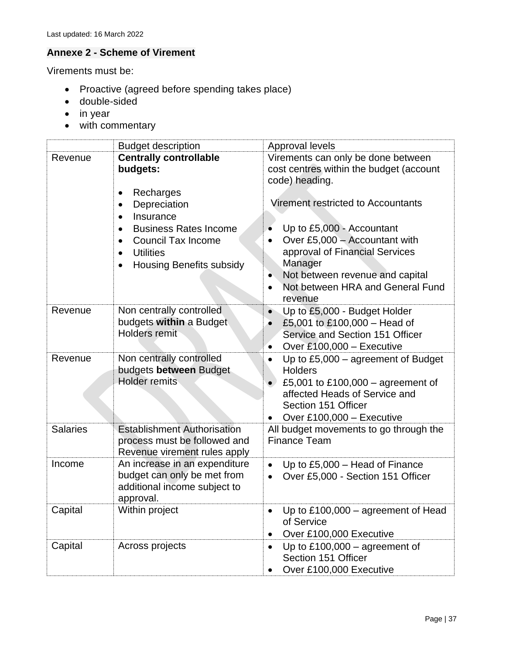# <span id="page-36-0"></span>**Annexe 2 - Scheme of Virement**

Virements must be:

- Proactive (agreed before spending takes place)
- double-sided
- in year
- with commentary

|                 | <b>Budget description</b>                                                                                                                                                                                                                                        | Approval levels                                                                                                                                                                                                                                                                                                         |
|-----------------|------------------------------------------------------------------------------------------------------------------------------------------------------------------------------------------------------------------------------------------------------------------|-------------------------------------------------------------------------------------------------------------------------------------------------------------------------------------------------------------------------------------------------------------------------------------------------------------------------|
| Revenue         | <b>Centrally controllable</b><br>budgets:<br>Recharges<br>$\bullet$<br>Depreciation<br>٠<br>Insurance<br>$\bullet$<br><b>Business Rates Income</b><br><b>Council Tax Income</b><br>$\bullet$<br><b>Utilities</b><br>$\bullet$<br><b>Housing Benefits subsidy</b> | Virements can only be done between<br>cost centres within the budget (account<br>code) heading.<br>Virement restricted to Accountants<br>Up to £5,000 - Accountant<br>Over £5,000 - Accountant with<br>approval of Financial Services<br>Manager<br>Not between revenue and capital<br>Not between HRA and General Fund |
| Revenue         | Non centrally controlled<br>budgets within a Budget<br><b>Holders remit</b>                                                                                                                                                                                      | revenue<br>Up to £5,000 - Budget Holder<br>£5,001 to £100,000 - Head of<br>Service and Section 151 Officer<br>Over £100,000 - Executive<br>$\bullet$                                                                                                                                                                    |
| Revenue         | Non centrally controlled<br>budgets between Budget<br><b>Holder remits</b>                                                                                                                                                                                       | Up to $£5,000$ – agreement of Budget<br><b>Holders</b><br>£5,001 to £100,000 - agreement of<br>affected Heads of Service and<br>Section 151 Officer<br>Over £100,000 $-$ Executive                                                                                                                                      |
| <b>Salaries</b> | <b>Establishment Authorisation</b><br>process must be followed and<br>Revenue virement rules apply                                                                                                                                                               | All budget movements to go through the<br><b>Finance Team</b>                                                                                                                                                                                                                                                           |
| Income          | An increase in an expenditure<br>budget can only be met from<br>additional income subject to<br>approval.                                                                                                                                                        | Up to £5,000 - Head of Finance<br>$\bullet$<br>Over £5,000 - Section 151 Officer<br>$\bullet$                                                                                                                                                                                                                           |
| Capital         | Within project                                                                                                                                                                                                                                                   | Up to £100,000 - agreement of Head<br>of Service<br>Over £100,000 Executive                                                                                                                                                                                                                                             |
| Capital         | Across projects                                                                                                                                                                                                                                                  | Up to $£100,000 -$ agreement of<br>Section 151 Officer<br>Over £100,000 Executive                                                                                                                                                                                                                                       |